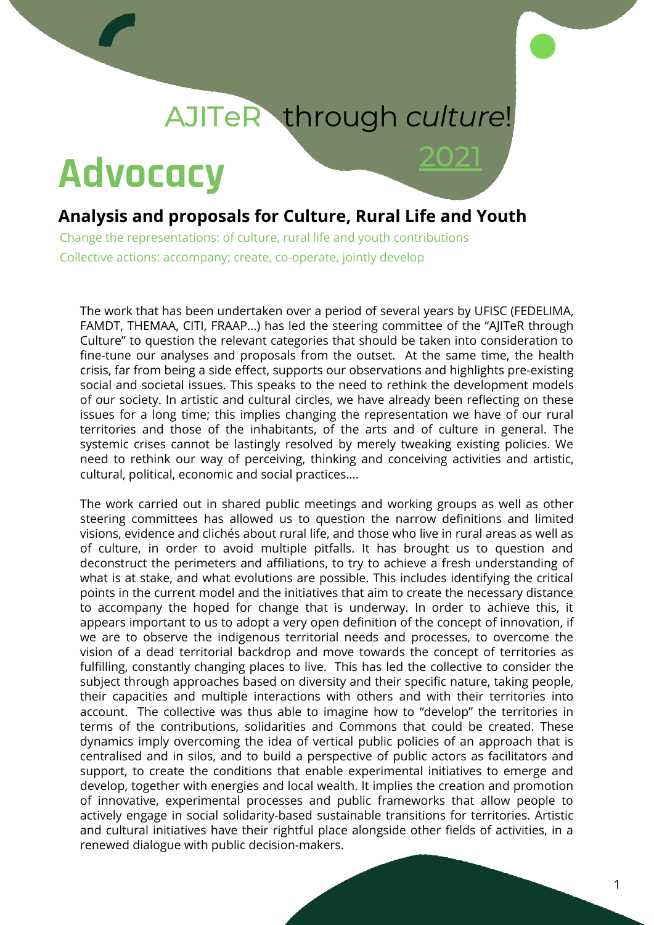# AJITeR through *culture*!

2021

# **Advocacy**

### **Analysis and proposals for Culture, Rural Life and Youth**

Change the representations: of culture, rural life and youth contributions Collective actions: accompany; create, co-operate, jointly develop

The work that has been undertaken over a period of several years by UFISC (FEDELIMA, FAMDT, THEMAA, CITI, FRAAP…) has led the steering committee of the "AJITeR through Culture" to question the relevant categories that should be taken into consideration to fine-tune our analyses and proposals from the outset. At the same time, the health crisis, far from being a side effect, supports our observations and highlights pre-existing social and societal issues. This speaks to the need to rethink the development models of our society. In artistic and cultural circles, we have already been reflecting on these issues for a long time; this implies changing the representation we have of our rural territories and those of the inhabitants, of the arts and of culture in general. The systemic crises cannot be lastingly resolved by merely tweaking existing policies. We need to rethink our way of perceiving, thinking and conceiving activities and artistic, cultural, political, economic and social practices….

The work carried out in shared public meetings and working groups as well as other steering committees has allowed us to question the narrow definitions and limited visions, evidence and clichés about rural life, and those who live in rural areas as well as of culture, in order to avoid multiple pitfalls. It has brought us to question and deconstruct the perimeters and affiliations, to try to achieve a fresh understanding of what is at stake, and what evolutions are possible. This includes identifying the critical points in the current model and the initiatives that aim to create the necessary distance to accompany the hoped for change that is underway. In order to achieve this, it appears important to us to adopt a very open definition of the concept of innovation, if we are to observe the indigenous territorial needs and processes, to overcome the vision of a dead territorial backdrop and move towards the concept of territories as fulfilling, constantly changing places to live. This has led the collective to consider the subject through approaches based on diversity and their specific nature, taking people, their capacities and multiple interactions with others and with their territories into account. The collective was thus able to imagine how to "develop" the territories in terms of the contributions, solidarities and Commons that could be created. These dynamics imply overcoming the idea of vertical public policies of an approach that is centralised and in silos, and to build a perspective of public actors as facilitators and support, to create the conditions that enable experimental initiatives to emerge and develop, together with energies and local wealth. It implies the creation and promotion of innovative, experimental processes and public frameworks that allow people to actively engage in social solidarity-based sustainable transitions for territories. Artistic and cultural initiatives have their rightful place alongside other fields of activities, in a renewed dialogue with public decision-makers.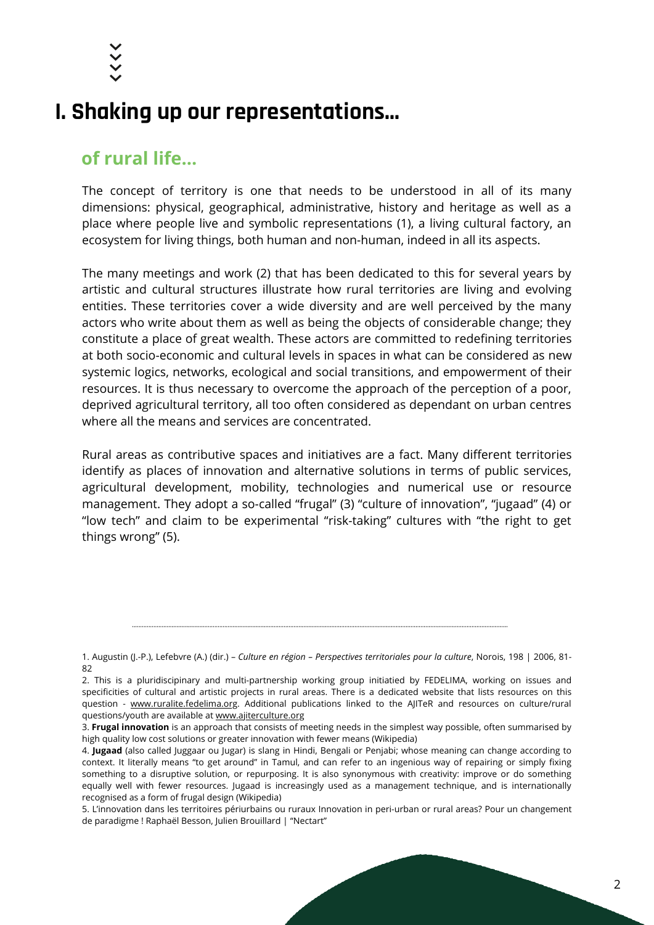

## **I. Shaking up our representations...**

## **of rural life...**

The concept of territory is one that needs to be understood in all of its many dimensions: physical, geographical, administrative, history and heritage as well as a place where people live and symbolic representations (1), a living cultural factory, an ecosystem for living things, both human and non-human, indeed in all its aspects.

The many meetings and work (2) that has been dedicated to this for several years by artistic and cultural structures illustrate how rural territories are living and evolving entities. These territories cover a wide diversity and are well perceived by the many actors who write about them as well as being the objects of considerable change; they constitute a place of great wealth. These actors are committed to redefining territories at both socio-economic and cultural levels in spaces in what can be considered as new systemic logics, networks, ecological and social transitions, and empowerment of their resources. It is thus necessary to overcome the approach of the perception of a poor, deprived agricultural territory, all too often considered as dependant on urban centres where all the means and services are concentrated.

Rural areas as contributive spaces and initiatives are a fact. Many different territories identify as places of innovation and alternative solutions in terms of public services, agricultural development, mobility, technologies and numerical use or resource management. They adopt a so-called "frugal" (3) "culture of innovation", "jugaad" (4) or "low tech" and claim to be experimental "risk-taking" cultures with "the right to get things wrong" (5).

<sup>1.</sup> Augustin (J.-P.), Lefebvre (A.) (dir.) – *Culture en région – Perspectives territoriales pour la culture*, Norois, 198 | 2006, 81- 82

<sup>2.</sup> This is a pluridiscipinary and multi-partnership working group initiatied by FEDELIMA, working on issues and specificities of cultural and artistic projects in rural areas. There is a dedicated website that lists resources on this question - [www.ruralite.fedelima.org](http://www.ruralite.fedelima.org/). Additional publications linked to the AJITeR and resources on culture/rural questions/youth are available at [www.ajiterculture.org](http://www.ajiterculture.org/)

<sup>3.</sup> **Frugal innovation** is an approach that consists of meeting needs in the simplest way possible, often summarised by high quality low cost solutions or greater innovation with fewer means (Wikipedia)

<sup>4.</sup> **Jugaad** (also called Juggaar ou Jugar) is slang in Hindi, Bengali or Penjabi; whose meaning can change according to context. It literally means "to get around" in Tamul, and can refer to an ingenious way of repairing or simply fixing something to a disruptive solution, or repurposing. It is also synonymous with creativity: improve or do something equally well with fewer resources. Jugaad is increasingly used as a management technique, and is internationally recognised as a form of frugal design (Wikipedia)

<sup>5.</sup> L'innovation dans les territoires périurbains ou ruraux Innovation in peri-urban or rural areas? Pour un changement de paradigme ! Raphaël Besson, Julien Brouillard | "Nectart"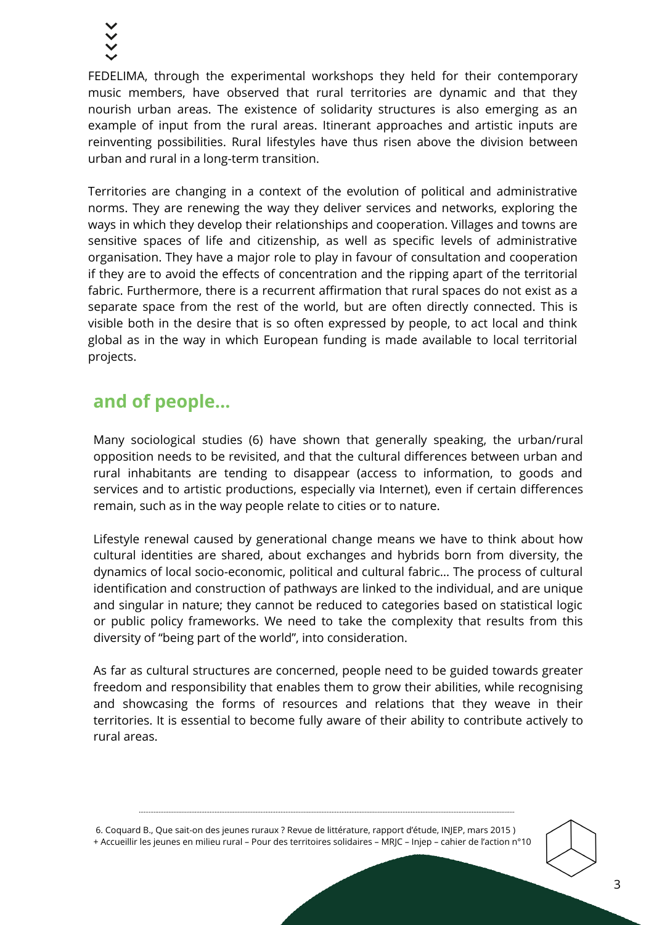FEDELIMA, through the experimental workshops they held for their contemporary music members, have observed that rural territories are dynamic and that they nourish urban areas. The existence of solidarity structures is also emerging as an example of input from the rural areas. Itinerant approaches and artistic inputs are reinventing possibilities. Rural lifestyles have thus risen above the division between urban and rural in a long-term transition.

Territories are changing in a context of the evolution of political and administrative norms. They are renewing the way they deliver services and networks, exploring the ways in which they develop their relationships and cooperation. Villages and towns are sensitive spaces of life and citizenship, as well as specific levels of administrative organisation. They have a major role to play in favour of consultation and cooperation if they are to avoid the effects of concentration and the ripping apart of the territorial fabric. Furthermore, there is a recurrent affirmation that rural spaces do not exist as a separate space from the rest of the world, but are often directly connected. This is visible both in the desire that is so often expressed by people, to act local and think global as in the way in which European funding is made available to local territorial projects.

## **and of people...**

Many sociological studies (6) have shown that generally speaking, the urban/rural opposition needs to be revisited, and that the cultural differences between urban and rural inhabitants are tending to disappear (access to information, to goods and services and to artistic productions, especially via Internet), even if certain differences remain, such as in the way people relate to cities or to nature.

Lifestyle renewal caused by generational change means we have to think about how cultural identities are shared, about exchanges and hybrids born from diversity, the dynamics of local socio-economic, political and cultural fabric… The process of cultural identification and construction of pathways are linked to the individual, and are unique and singular in nature; they cannot be reduced to categories based on statistical logic or public policy frameworks. We need to take the complexity that results from this diversity of "being part of the world", into consideration.

As far as cultural structures are concerned, people need to be guided towards greater freedom and responsibility that enables them to grow their abilities, while recognising and showcasing the forms of resources and relations that they weave in their territories. It is essential to become fully aware of their ability to contribute actively to rural areas.

6. Coquard B., Que sait-on des jeunes ruraux ? Revue de littérature, rapport d'étude, INJEP, mars 2015 ) + Accueillir les jeunes en milieu rural – Pour des territoires solidaires – MRJC – Injep – cahier de l'action n°10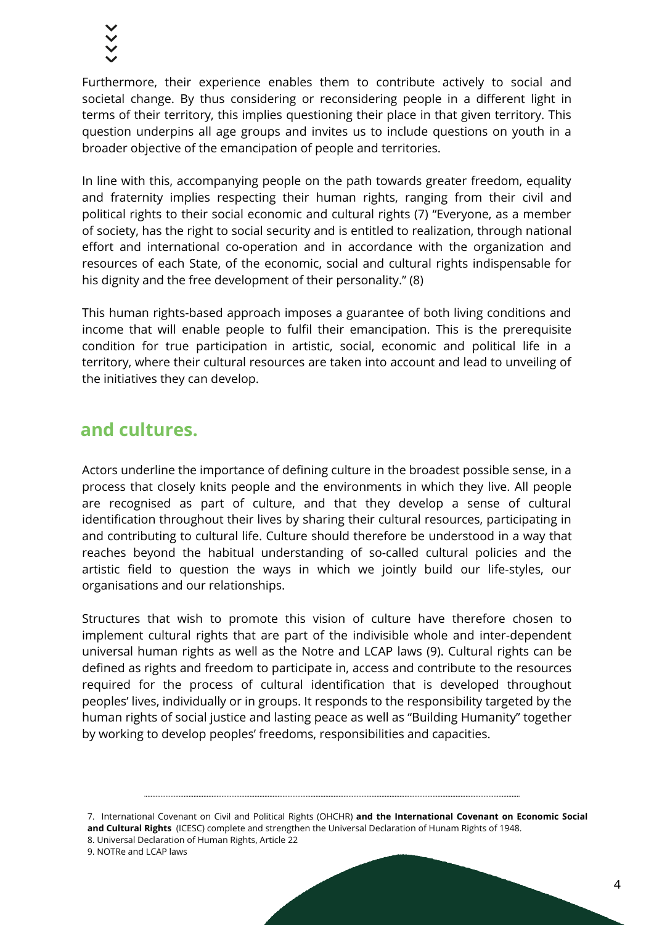Furthermore, their experience enables them to contribute actively to social and societal change. By thus considering or reconsidering people in a different light in terms of their territory, this implies questioning their place in that given territory. This question underpins all age groups and invites us to include questions on youth in a broader objective of the emancipation of people and territories.

In line with this, accompanying people on the path towards greater freedom, equality and fraternity implies respecting their human rights, ranging from their civil and political rights to their social economic and cultural rights (7) "Everyone, as a member of society, has the right to social security and is entitled to realization, through national effort and international co-operation and in accordance with the organization and resources of each State, of the economic, social and cultural rights indispensable for his dignity and the free development of their personality." (8)

This human rights-based approach imposes a guarantee of both living conditions and income that will enable people to fulfil their emancipation. This is the prerequisite condition for true participation in artistic, social, economic and political life in a territory, where their cultural resources are taken into account and lead to unveiling of the initiatives they can develop.

## **and cultures.**

Actors underline the importance of defining culture in the broadest possible sense, in a process that closely knits people and the environments in which they live. All people are recognised as part of culture, and that they develop a sense of cultural identification throughout their lives by sharing their cultural resources, participating in and contributing to cultural life. Culture should therefore be understood in a way that reaches beyond the habitual understanding of so-called cultural policies and the artistic field to question the ways in which we jointly build our life-styles, our organisations and our relationships.

Structures that wish to promote this vision of culture have therefore chosen to implement cultural rights that are part of the indivisible whole and inter-dependent universal human rights as well as the Notre and LCAP laws (9). Cultural rights can be defined as rights and freedom to participate in, access and contribute to the resources required for the process of cultural identification that is developed throughout peoples' lives, individually or in groups. It responds to the responsibility targeted by the human rights of social justice and lasting peace as well as "Building Humanity" together by working to develop peoples' freedoms, responsibilities and capacities.

7. International Covenant on Civil and Political Rights (OHCHR) **and the International Covenant on Economic Social and Cultural Rights** (ICESC) complete and strengthen the Universal Declaration of Hunam Rights of 1948. 8. Universal Declaration of Human Rights, Article 22

9. NOTRe and LCAP laws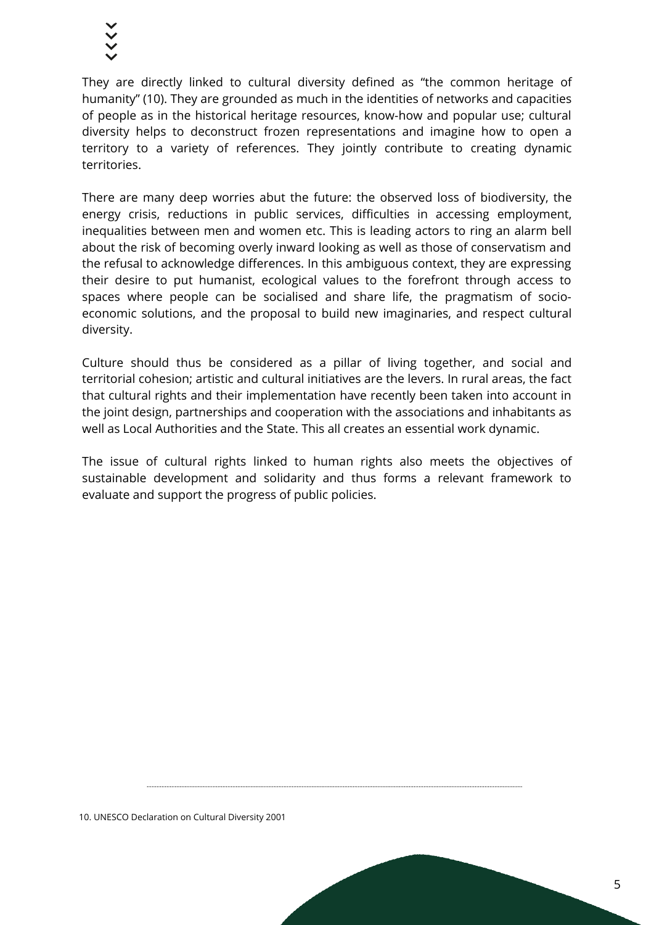They are directly linked to cultural diversity defined as "the common heritage of humanity" (10). They are grounded as much in the identities of networks and capacities of people as in the historical heritage resources, know-how and popular use; cultural diversity helps to deconstruct frozen representations and imagine how to open a territory to a variety of references. They jointly contribute to creating dynamic territories.

There are many deep worries abut the future: the observed loss of biodiversity, the energy crisis, reductions in public services, difficulties in accessing employment, inequalities between men and women etc. This is leading actors to ring an alarm bell about the risk of becoming overly inward looking as well as those of conservatism and the refusal to acknowledge differences. In this ambiguous context, they are expressing their desire to put humanist, ecological values to the forefront through access to spaces where people can be socialised and share life, the pragmatism of socioeconomic solutions, and the proposal to build new imaginaries, and respect cultural diversity.

Culture should thus be considered as a pillar of living together, and social and territorial cohesion; artistic and cultural initiatives are the levers. In rural areas, the fact that cultural rights and their implementation have recently been taken into account in the joint design, partnerships and cooperation with the associations and inhabitants as well as Local Authorities and the State. This all creates an essential work dynamic.

The issue of cultural rights linked to human rights also meets the objectives of sustainable development and solidarity and thus forms a relevant framework to evaluate and support the progress of public policies.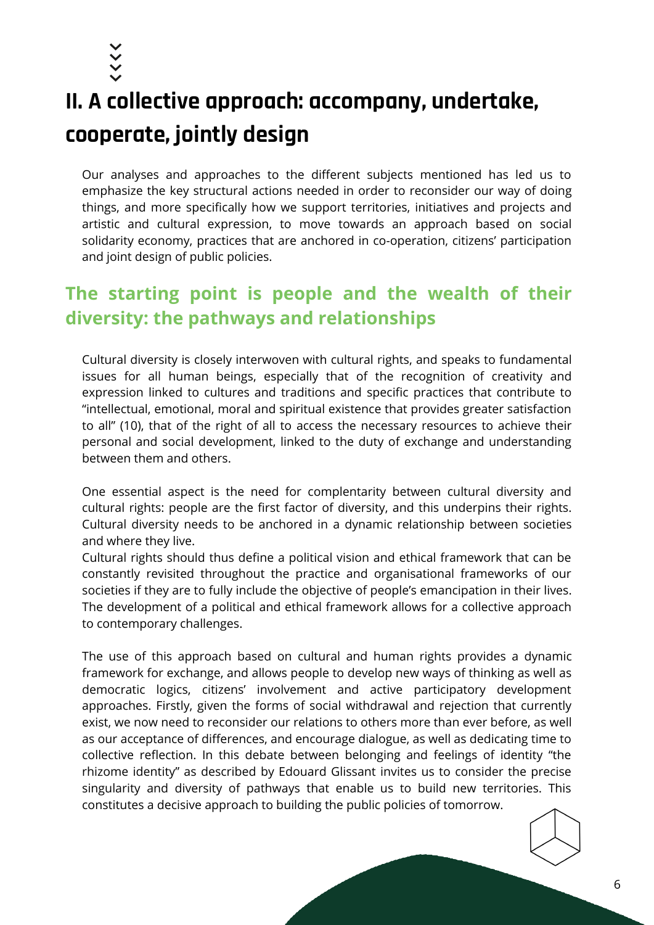

## **II. A collective approach: accompany, undertake, cooperate, jointly design**

Our analyses and approaches to the different subjects mentioned has led us to emphasize the key structural actions needed in order to reconsider our way of doing things, and more specifically how we support territories, initiatives and projects and artistic and cultural expression, to move towards an approach based on social solidarity economy, practices that are anchored in co-operation, citizens' participation and joint design of public policies.

## **The starting point is people and the wealth of their diversity: the pathways and relationships**

Cultural diversity is closely interwoven with cultural rights, and speaks to fundamental issues for all human beings, especially that of the recognition of creativity and expression linked to cultures and traditions and specific practices that contribute to "intellectual, emotional, moral and spiritual existence that provides greater satisfaction to all" (10), that of the right of all to access the necessary resources to achieve their personal and social development, linked to the duty of exchange and understanding between them and others.

One essential aspect is the need for complentarity between cultural diversity and cultural rights: people are the first factor of diversity, and this underpins their rights. Cultural diversity needs to be anchored in a dynamic relationship between societies and where they live.

Cultural rights should thus define a political vision and ethical framework that can be constantly revisited throughout the practice and organisational frameworks of our societies if they are to fully include the objective of people's emancipation in their lives. The development of a political and ethical framework allows for a collective approach to contemporary challenges.

The use of this approach based on cultural and human rights provides a dynamic framework for exchange, and allows people to develop new ways of thinking as well as democratic logics, citizens' involvement and active participatory development approaches. Firstly, given the forms of social withdrawal and rejection that currently exist, we now need to reconsider our relations to others more than ever before, as well as our acceptance of differences, and encourage dialogue, as well as dedicating time to collective reflection. In this debate between belonging and feelings of identity "the rhizome identity" as described by Edouard Glissant invites us to consider the precise singularity and diversity of pathways that enable us to build new territories. This constitutes a decisive approach to building the public policies of tomorrow.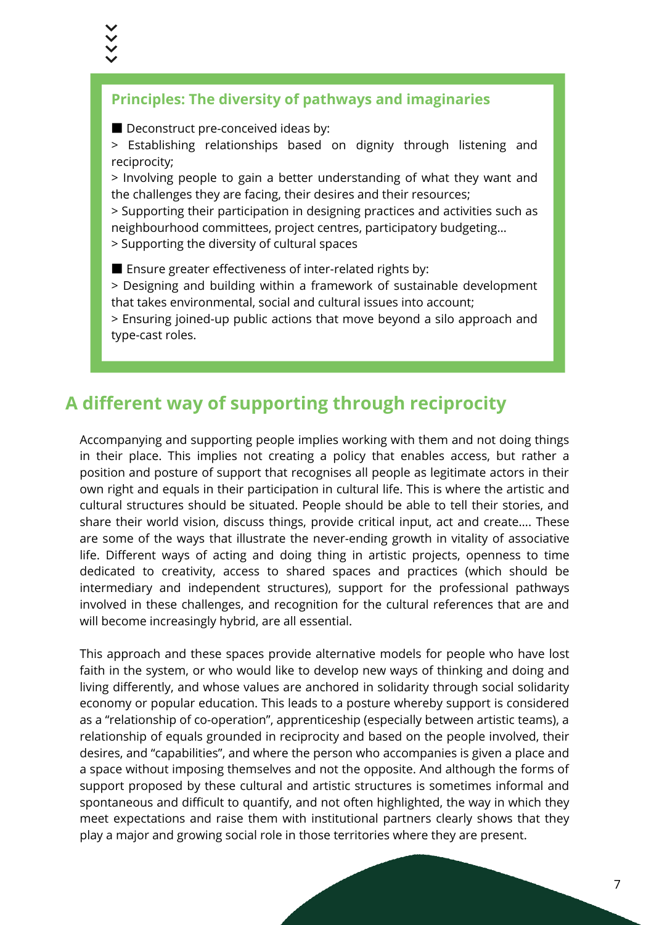#### **Principles: The diversity of pathways and imaginaries**

■ Deconstruct pre-conceived ideas by:

> Establishing relationships based on dignity through listening and reciprocity;

> Involving people to gain a better understanding of what they want and the challenges they are facing, their desires and their resources;

> Supporting their participation in designing practices and activities such as neighbourhood committees, project centres, participatory budgeting…

> Supporting the diversity of cultural spaces

■ Ensure greater effectiveness of inter-related rights by:

> Designing and building within a framework of sustainable development that takes environmental, social and cultural issues into account;

> Ensuring joined-up public actions that move beyond a silo approach and type-cast roles.

## **A different way of supporting through reciprocity**

Accompanying and supporting people implies working with them and not doing things in their place. This implies not creating a policy that enables access, but rather a position and posture of support that recognises all people as legitimate actors in their own right and equals in their participation in cultural life. This is where the artistic and cultural structures should be situated. People should be able to tell their stories, and share their world vision, discuss things, provide critical input, act and create…. These are some of the ways that illustrate the never-ending growth in vitality of associative life. Different ways of acting and doing thing in artistic projects, openness to time dedicated to creativity, access to shared spaces and practices (which should be intermediary and independent structures), support for the professional pathways involved in these challenges, and recognition for the cultural references that are and will become increasingly hybrid, are all essential.

This approach and these spaces provide alternative models for people who have lost faith in the system, or who would like to develop new ways of thinking and doing and living differently, and whose values are anchored in solidarity through social solidarity economy or popular education. This leads to a posture whereby support is considered as a "relationship of co-operation", apprenticeship (especially between artistic teams), a relationship of equals grounded in reciprocity and based on the people involved, their desires, and "capabilities", and where the person who accompanies is given a place and a space without imposing themselves and not the opposite. And although the forms of support proposed by these cultural and artistic structures is sometimes informal and spontaneous and difficult to quantify, and not often highlighted, the way in which they meet expectations and raise them with institutional partners clearly shows that they play a major and growing social role in those territories where they are present.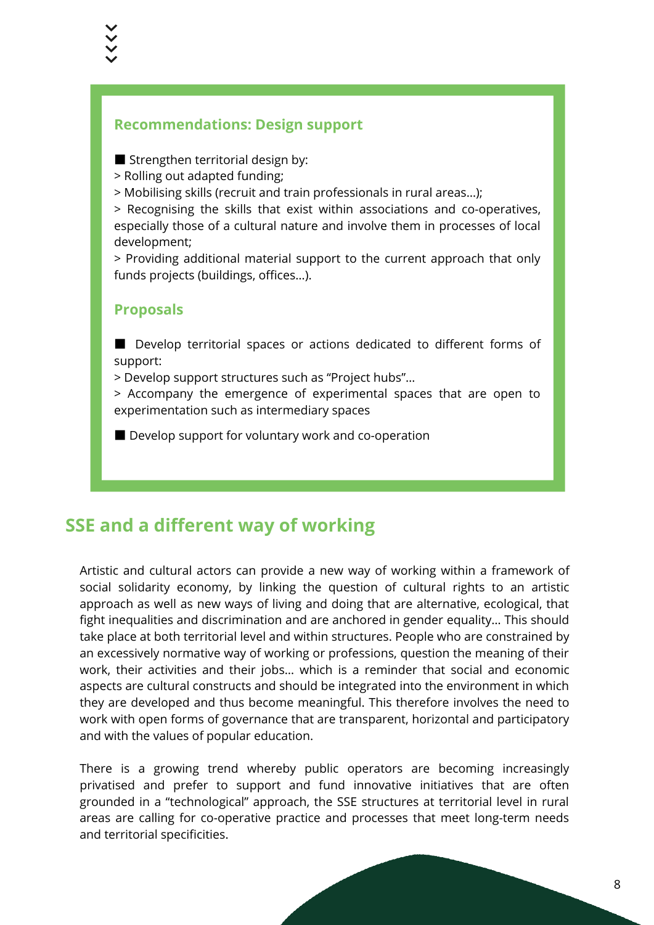#### **Recommendations: Design support**

■ Strengthen territorial design by:

- > Rolling out adapted funding;
- > Mobilising skills (recruit and train professionals in rural areas…);

> Recognising the skills that exist within associations and co-operatives, especially those of a cultural nature and involve them in processes of local development;

> Providing additional material support to the current approach that only funds projects (buildings, offices…).

#### **Proposals**

■ Develop territorial spaces or actions dedicated to different forms of support:

> Develop support structures such as "Project hubs"…

> Accompany the emergence of experimental spaces that are open to experimentation such as intermediary spaces

■ Develop support for voluntary work and co-operation

## **SSE and a different way of working**

Artistic and cultural actors can provide a new way of working within a framework of social solidarity economy, by linking the question of cultural rights to an artistic approach as well as new ways of living and doing that are alternative, ecological, that fight inequalities and discrimination and are anchored in gender equality… This should take place at both territorial level and within structures. People who are constrained by an excessively normative way of working or professions, question the meaning of their work, their activities and their jobs… which is a reminder that social and economic aspects are cultural constructs and should be integrated into the environment in which they are developed and thus become meaningful. This therefore involves the need to work with open forms of governance that are transparent, horizontal and participatory and with the values of popular education.

There is a growing trend whereby public operators are becoming increasingly privatised and prefer to support and fund innovative initiatives that are often grounded in a "technological" approach, the SSE structures at territorial level in rural areas are calling for co-operative practice and processes that meet long-term needs and territorial specificities.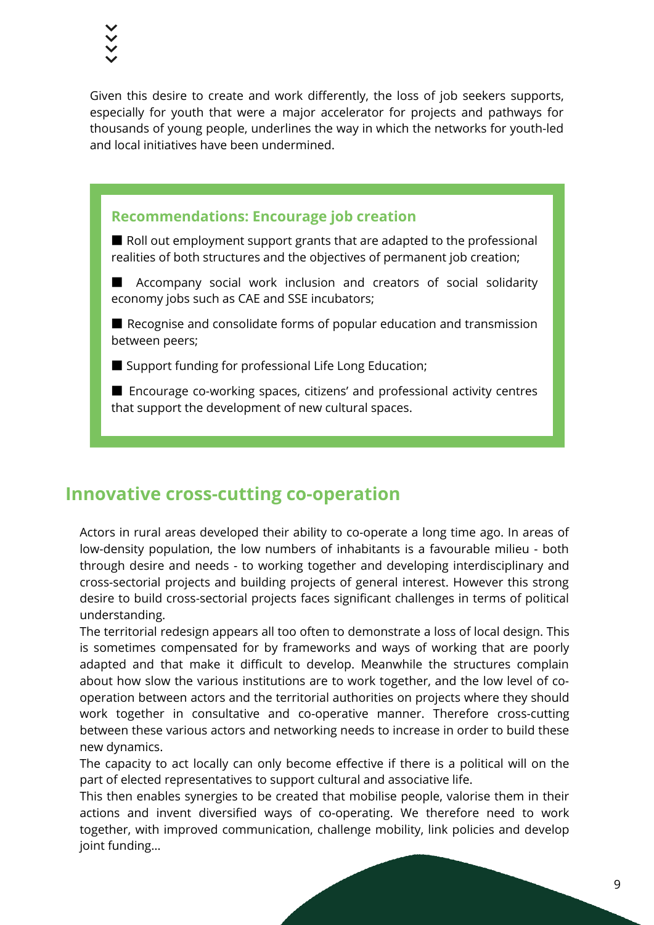Given this desire to create and work differently, the loss of job seekers supports, especially for youth that were a major accelerator for projects and pathways for thousands of young people, underlines the way in which the networks for youth-led and local initiatives have been undermined.

#### **Recommendations: Encourage job creation**

■ Roll out employment support grants that are adapted to the professional realities of both structures and the objectives of permanent job creation;

■ Accompany social work inclusion and creators of social solidarity economy jobs such as CAE and SSE incubators;

■ Recognise and consolidate forms of popular education and transmission between peers;

■ Support funding for professional Life Long Education;

■ Encourage co-working spaces, citizens' and professional activity centres that support the development of new cultural spaces.

## **Innovative cross-cutting co-operation**

Actors in rural areas developed their ability to co-operate a long time ago. In areas of low-density population, the low numbers of inhabitants is a favourable milieu - both through desire and needs - to working together and developing interdisciplinary and cross-sectorial projects and building projects of general interest. However this strong desire to build cross-sectorial projects faces significant challenges in terms of political understanding.

The territorial redesign appears all too often to demonstrate a loss of local design. This is sometimes compensated for by frameworks and ways of working that are poorly adapted and that make it difficult to develop. Meanwhile the structures complain about how slow the various institutions are to work together, and the low level of cooperation between actors and the territorial authorities on projects where they should work together in consultative and co-operative manner. Therefore cross-cutting between these various actors and networking needs to increase in order to build these new dynamics.

The capacity to act locally can only become effective if there is a political will on the part of elected representatives to support cultural and associative life.

This then enables synergies to be created that mobilise people, valorise them in their actions and invent diversified ways of co-operating. We therefore need to work together, with improved communication, challenge mobility, link policies and develop joint funding…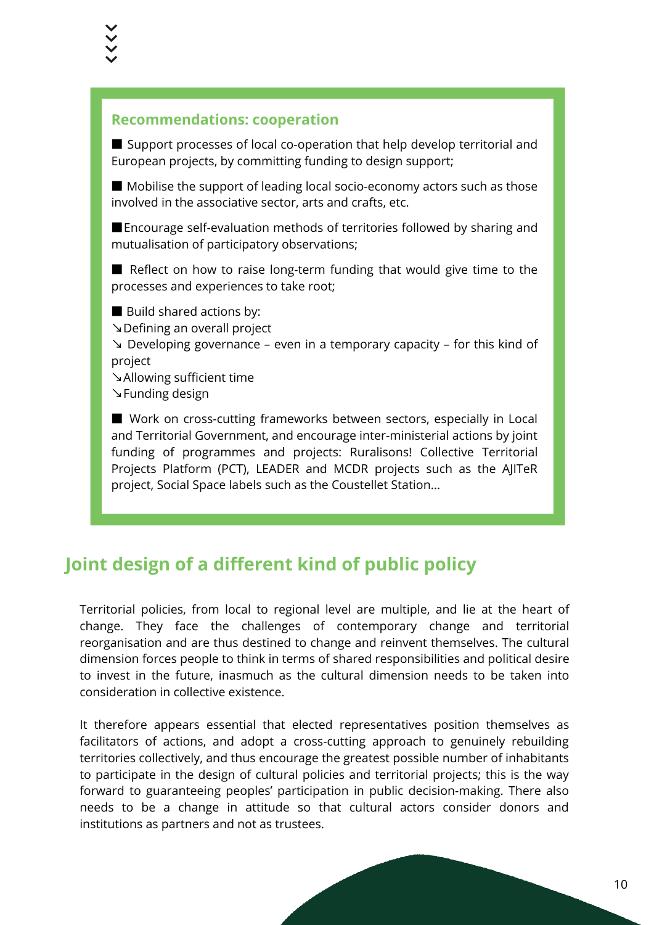#### **Recommendations: cooperation**

■ Support processes of local co-operation that help develop territorial and European projects, by committing funding to design support;

■ Mobilise the support of leading local socio-economy actors such as those involved in the associative sector, arts and crafts, etc.

■Encourage self-evaluation methods of territories followed by sharing and mutualisation of participatory observations;

■ Reflect on how to raise long-term funding that would give time to the processes and experiences to take root;

■ Build shared actions by:

↘Defining an overall project

↘ Developing governance – even in a temporary capacity – for this kind of project

↘Allowing sufficient time ↘Funding design

■ Work on cross-cutting frameworks between sectors, especially in Local and Territorial Government, and encourage inter-ministerial actions by joint funding of programmes and projects: Ruralisons! Collective Territorial Projects Platform (PCT), LEADER and MCDR projects such as the AJITeR project, Social Space labels such as the Coustellet Station…

## **Joint design of a different kind of public policy**

Territorial policies, from local to regional level are multiple, and lie at the heart of change. They face the challenges of contemporary change and territorial reorganisation and are thus destined to change and reinvent themselves. The cultural dimension forces people to think in terms of shared responsibilities and political desire to invest in the future, inasmuch as the cultural dimension needs to be taken into consideration in collective existence.

It therefore appears essential that elected representatives position themselves as facilitators of actions, and adopt a cross-cutting approach to genuinely rebuilding territories collectively, and thus encourage the greatest possible number of inhabitants to participate in the design of cultural policies and territorial projects; this is the way forward to guaranteeing peoples' participation in public decision-making. There also needs to be a change in attitude so that cultural actors consider donors and institutions as partners and not as trustees.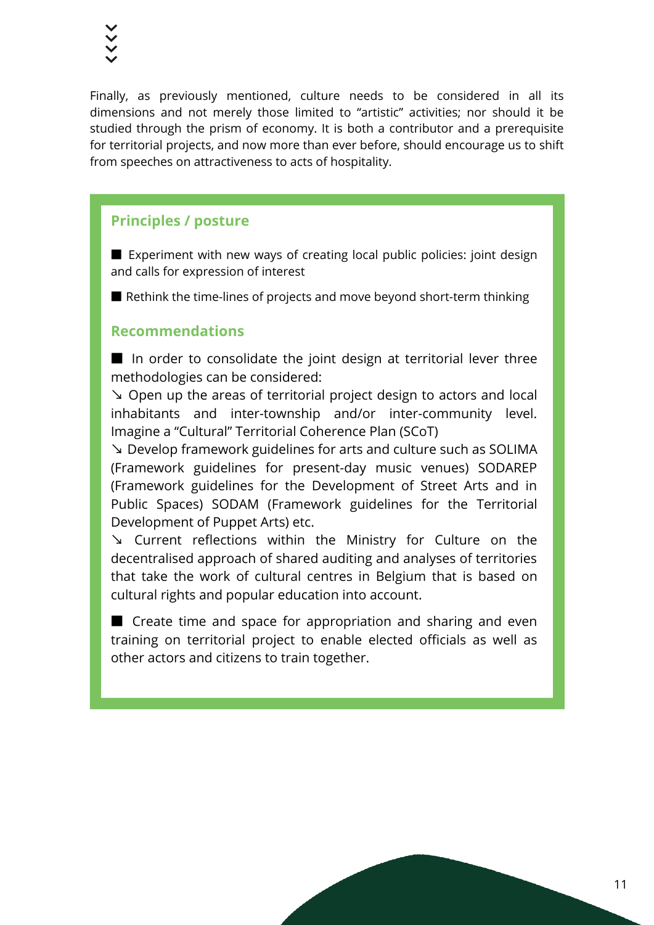Finally, as previously mentioned, culture needs to be considered in all its dimensions and not merely those limited to "artistic" activities; nor should it be studied through the prism of economy. It is both a contributor and a prerequisite for territorial projects, and now more than ever before, should encourage us to shift from speeches on attractiveness to acts of hospitality.

#### **Principles / posture**

■ Experiment with new ways of creating local public policies: joint design and calls for expression of interest

■ Rethink the time-lines of projects and move beyond short-term thinking

#### **Recommendations**

■ In order to consolidate the joint design at territorial lever three methodologies can be considered:

↘ Open up the areas of territorial project design to actors and local inhabitants and inter-township and/or inter-community level. Imagine a "Cultural" Territorial Coherence Plan (SCoT)

↘ Develop framework guidelines for arts and culture such as SOLIMA (Framework guidelines for present-day music venues) SODAREP (Framework guidelines for the Development of Street Arts and in Public Spaces) SODAM (Framework guidelines for the Territorial Development of Puppet Arts) etc.

↘ Current reflections within the Ministry for Culture on the decentralised approach of shared auditing and analyses of territories that take the work of cultural centres in Belgium that is based on cultural rights and popular education into account.

■ Create time and space for appropriation and sharing and even training on territorial project to enable elected officials as well as other actors and citizens to train together.